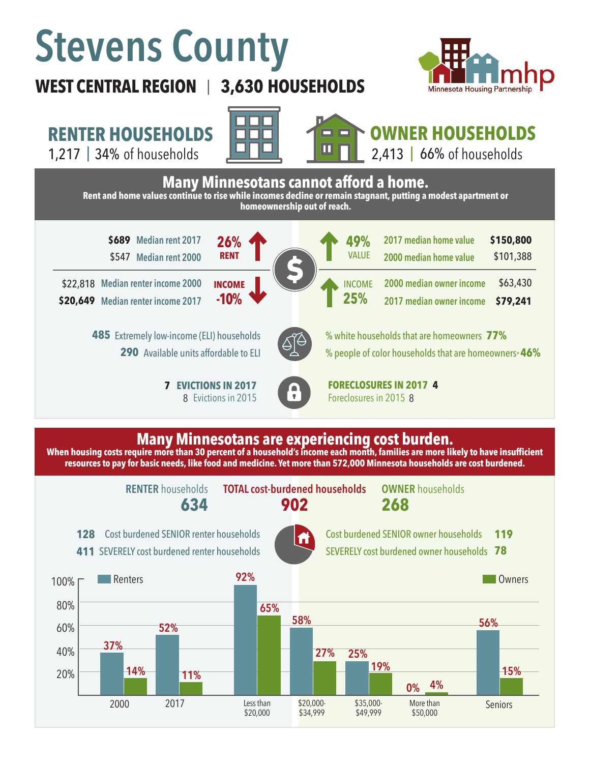# **Stevens County**

## **WEST CENTRAL REGION 3,630 HOUSEHOLDS**  |



## **RENTER HOUSEHOLDS**

1,217 | 34% of households **I Revealed April 1,213 | 66%** 





# **OWNER HOUSEHOLDS**

2,413 | 66% of households



### **Many Minnesotans are experiencing cost burden.**

**When housing costs require more than 30 percent of a household's income each month, families are more likely to have insufficient resources to pay for basic needs, like food and medicine. Yet more than 572,000 Minnesota households are cost burdened.**